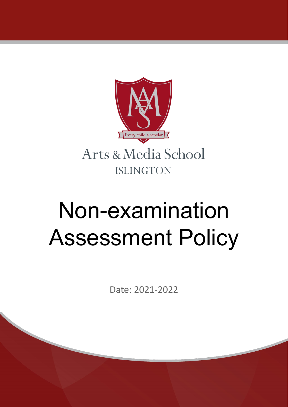

# Non-examination Assessment Policy

Date: 2021-2022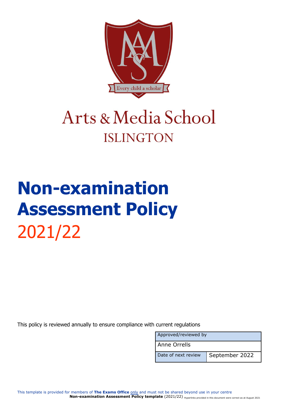

### Arts & Media School **ISLINGTON**

## **Non-examination Assessment Policy** 2021/22

This policy is reviewed annually to ensure compliance with current regulations

| Approved/reviewed by |                |
|----------------------|----------------|
| l Anne Orrells       |                |
| Date of next review  | September 2022 |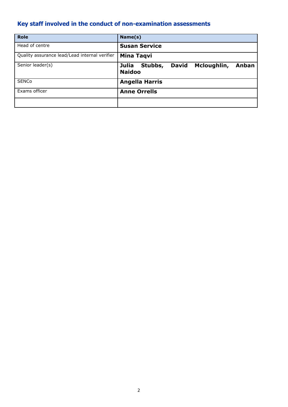### <span id="page-2-0"></span>**Key staff involved in the conduct of non-examination assessments**

| <b>Role</b>                                   | Name(s)                                                                   |
|-----------------------------------------------|---------------------------------------------------------------------------|
| Head of centre                                | <b>Susan Service</b>                                                      |
| Quality assurance lead/Lead internal verifier | <b>Mina Taqvi</b>                                                         |
| Senior leader(s)                              | Stubbs,<br><b>David</b><br>Mcloughlin,<br>Julia<br>Anban<br><b>Naidoo</b> |
| <b>SENCo</b>                                  | <b>Angella Harris</b>                                                     |
| Exams officer                                 | <b>Anne Orrells</b>                                                       |
|                                               |                                                                           |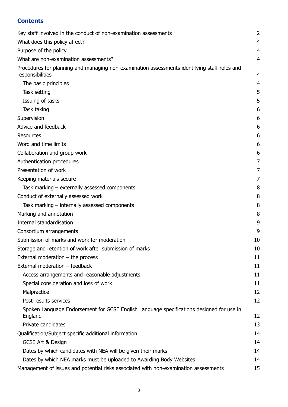#### **Contents**

| Key staff involved in the conduct of non-examination assessments                                                 | 2              |
|------------------------------------------------------------------------------------------------------------------|----------------|
| What does this policy affect?                                                                                    | 4              |
| Purpose of the policy                                                                                            | 4              |
| What are non-examination assessments?                                                                            | 4              |
| Procedures for planning and managing non-examination assessments identifying staff roles and<br>responsibilities | $\overline{4}$ |
| The basic principles                                                                                             | 4              |
| Task setting                                                                                                     | 5              |
| Issuing of tasks                                                                                                 | 5              |
| Task taking                                                                                                      | 6              |
| Supervision                                                                                                      | 6              |
| Advice and feedback                                                                                              | 6              |
| <b>Resources</b>                                                                                                 | 6              |
| Word and time limits                                                                                             | 6              |
| Collaboration and group work                                                                                     | 6              |
| Authentication procedures                                                                                        | 7              |
| Presentation of work                                                                                             | 7              |
| Keeping materials secure                                                                                         | 7              |
| Task marking – externally assessed components                                                                    | 8              |
| Conduct of externally assessed work                                                                              | 8              |
| Task marking $-$ internally assessed components                                                                  | 8              |
| Marking and annotation                                                                                           | 8              |
| Internal standardisation                                                                                         | 9              |
| Consortium arrangements                                                                                          | 9              |
| Submission of marks and work for moderation                                                                      | 10             |
| Storage and retention of work after submission of marks                                                          | 10             |
| External moderation $-$ the process                                                                              | 11             |
| External moderation - feedback                                                                                   | 11             |
| Access arrangements and reasonable adjustments                                                                   | 11             |
| Special consideration and loss of work                                                                           | 11             |
| Malpractice                                                                                                      | 12             |
| Post-results services                                                                                            | 12             |
| Spoken Language Endorsement for GCSE English Language specifications designed for use in<br>England              | 12             |
| Private candidates                                                                                               | 13             |
| Qualification/Subject specific additional information                                                            | 14             |
| <b>GCSE Art &amp; Design</b>                                                                                     | 14             |
| Dates by which candidates with NEA will be given their marks                                                     | 14             |
| Dates by which NEA marks must be uploaded to Awarding Body Websites                                              | 14             |
| Management of issues and potential risks associated with non-examination assessments                             | 15             |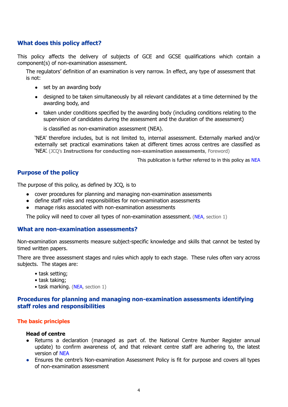#### <span id="page-4-0"></span>**What does this policy affect?**

This policy affects the delivery of subjects of GCE and GCSE qualifications which contain a component(s) of non-examination assessment.

The regulators' definition of an examination is very narrow. In effect, any type of assessment that is not:

- set by an awarding body
- designed to be taken simultaneously by all relevant candidates at a time determined by the awarding body, and
- taken under conditions specified by the awarding body (including conditions relating to the supervision of candidates during the assessment and the duration of the assessment)

is classified as non-examination assessment (NEA).

'NEA' therefore includes, but is not limited to, internal assessment. Externally marked and/or externally set practical examinations taken at different times across centres are classified as 'NEA'. (JCQ's **Instructions for conducting non-examination assessments**, Foreword)

This publication is further referred to in this policy as [NEA](http://www.jcq.org.uk/exams-office/non-examination-assessments)

#### <span id="page-4-1"></span>**Purpose of the policy**

The purpose of this policy, as defined by JCQ, is to

- cover procedures for planning and managing non-examination assessments
- define staff roles and responsibilities for non-examination assessments
- manage risks associated with non-examination assessments

The policy will need to cover all types of non-examination assessment. [\(NEA,](http://www.jcq.org.uk/exams-office/non-examination-assessments) section 1)

#### <span id="page-4-2"></span>**What are non-examination assessments?**

Non-examination assessments measure subject-specific knowledge and skills that cannot be tested by timed written papers.

There are three assessment stages and rules which apply to each stage. These rules often vary across subjects. The stages are:

- task setting;
- task taking;
- task marking. [\(NEA,](http://www.jcq.org.uk/exams-office/non-examination-assessments) section 1)

#### <span id="page-4-3"></span>**Procedures for planning and managing non-examination assessments identifying staff roles and responsibilities**

#### <span id="page-4-4"></span>**The basic principles**

#### **Head of centre**

- Returns a declaration (managed as part of. the National Centre Number Register annual update) to confirm awareness of, and that relevant centre staff are adhering to, the latest version of [NEA](http://www.jcq.org.uk/exams-office/non-examination-assessments)
- Ensures the centre's Non-examination Assessment Policy is fit for purpose and covers all types of non-examination assessment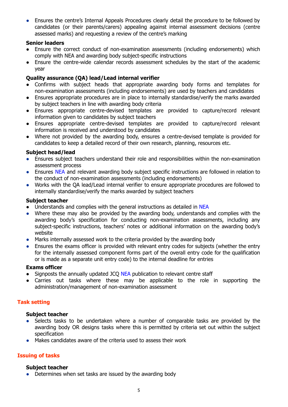● Ensures the centre's Internal Appeals Procedures clearly detail the procedure to be followed by candidates (or their parents/carers) appealing against internal assessment decisions (centre assessed marks) and requesting a review of the centre's marking

#### **Senior leaders**

- Ensure the correct conduct of non-examination assessments (including endorsements) which comply with [NEA](http://www.jcq.org.uk/exams-office/non-examination-assessments) and awarding body subject-specific instructions
- Ensure the centre-wide calendar records assessment schedules by the start of the academic year

#### **Quality assurance (QA) lead/Lead internal verifier**

- Confirms with subject heads that appropriate awarding body forms and templates for non-examination assessments (including endorsements) are used by teachers and candidates
- Ensures appropriate procedures are in place to internally standardise/verify the marks awarded by subject teachers in line with awarding body criteria
- Ensures appropriate centre-devised templates are provided to capture/record relevant information given to candidates by subject teachers
- Ensures appropriate centre-devised templates are provided to capture/record relevant information is received and understood by candidates
- Where not provided by the awarding body, ensures a centre-devised template is provided for candidates to keep a detailed record of their own research, planning, resources etc.

#### **Subject head/lead**

- Ensures subject teachers understand their role and responsibilities within the non-examination assessment process
- Ensures [NEA](http://www.jcq.org.uk/exams-office/non-examination-assessments) and relevant awarding body subject specific instructions are followed in relation to the conduct of non-examination assessments (including endorsements)
- Works with the QA lead/Lead internal verifier to ensure appropriate procedures are followed to internally standardise/verify the marks awarded by subject teachers

#### **Subject teacher**

- Understands and complies with the general instructions as detailed in [NEA](http://www.jcq.org.uk/exams-office/non-examination-assessments)
- Where these may also be provided by the awarding body, understands and complies with the awarding body's specification for conducting non-examination assessments, including any subject-specific instructions, teachers' notes or additional information on the awarding body's website
- Marks internally assessed work to the criteria provided by the awarding body
- Ensures the exams officer is provided with relevant entry codes for subjects (whether the entry for the internally assessed component forms part of the overall entry code for the qualification or is made as a separate unit entry code) to the internal deadline for entries

#### **Exams officer**

- Signposts the annually updated JCO [NEA](http://www.jcq.org.uk/exams-office/non-examination-assessments) publication to relevant centre staff
- Carries out tasks where these may be applicable to the role in supporting the administration/management of non-examination assessment

#### <span id="page-5-0"></span>**Task setting**

#### **Subject teacher**

- Selects tasks to be undertaken where a number of comparable tasks are provided by the awarding body OR designs tasks where this is permitted by criteria set out within the subject specification
- Makes candidates aware of the criteria used to assess their work

#### <span id="page-5-1"></span>**Issuing of tasks**

#### **Subject teacher**

● Determines when set tasks are issued by the awarding body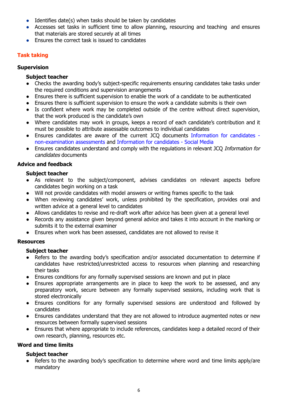- $\bullet$  Identifies date(s) when tasks should be taken by candidates
- Accesses set tasks in sufficient time to allow planning, resourcing and teaching and ensures that materials are stored securely at all times
- Ensures the correct task is issued to candidates

#### <span id="page-6-0"></span>**Task taking**

#### <span id="page-6-1"></span>**Supervision**

#### **Subject teacher**

- Checks the awarding body's subject-specific requirements ensuring candidates take tasks under the required conditions and supervision arrangements
- Ensures there is sufficient supervision to enable the work of a candidate to be authenticated
- Ensures there is sufficient supervision to ensure the work a candidate submits is their own
- Is confident where work may be completed outside of the centre without direct supervision, that the work produced is the candidate's own
- Where candidates may work in groups, keeps a record of each candidate's contribution and it must be possible to attribute assessable outcomes to individual candidates
- Ensures candidates are aware of the current JCQ documents [Information](http://www.jcq.org.uk/exams-office/information-for-candidates-documents) for candidates [non-examination](http://www.jcq.org.uk/exams-office/information-for-candidates-documents) assessments and [Information](http://www.jcq.org.uk/exams-office/information-for-candidates-documents) for candidates - Social Media
- Ensures candidates understand and comply with the regulations in relevant JCO Information for candidates documents

#### <span id="page-6-2"></span>**Advice and feedback**

#### **Subject teacher**

- As relevant to the subject/component, advises candidates on relevant aspects before candidates begin working on a task
- Will not provide candidates with model answers or writing frames specific to the task
- When reviewing candidates' work, unless prohibited by the specification, provides oral and written advice at a general level to candidates
- Allows candidates to revise and re-draft work after advice has been given at a general level
- Records any assistance given beyond general advice and takes it into account in the marking or submits it to the external examiner
- Ensures when work has been assessed, candidates are not allowed to revise it

#### <span id="page-6-3"></span>**Resources**

#### **Subject teacher**

- Refers to the awarding body's specification and/or associated documentation to determine if candidates have restricted/unrestricted access to resources when planning and researching their tasks
- Ensures conditions for any formally supervised sessions are known and put in place
- Ensures appropriate arrangements are in place to keep the work to be assessed, and any preparatory work, secure between any formally supervised sessions, including work that is stored electronically
- Ensures conditions for any formally supervised sessions are understood and followed by candidates
- Ensures candidates understand that they are not allowed to introduce augmented notes or new resources between formally supervised sessions
- Ensures that where appropriate to include references, candidates keep a detailed record of their own research, planning, resources etc.

#### <span id="page-6-4"></span>**Word and time limits**

#### **Subject teacher**

● Refers to the awarding body's specification to determine where word and time limits apply/are mandatory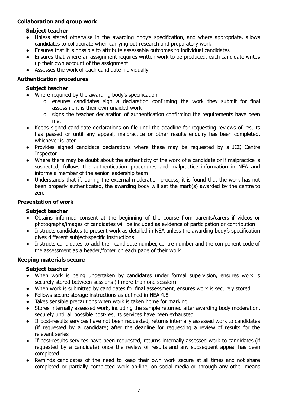#### <span id="page-7-0"></span>**Collaboration and group work**

#### **Subject teacher**

- Unless stated otherwise in the awarding body's specification, and where appropriate, allows candidates to collaborate when carrying out research and preparatory work
- Ensures that it is possible to attribute assessable outcomes to individual candidates
- Ensures that where an assignment requires written work to be produced, each candidate writes up their own account of the assignment
- Assesses the work of each candidate individually

#### <span id="page-7-1"></span>**Authentication procedures**

#### **Subject teacher**

- Where required by the awarding body's specification
	- o ensures candidates sign a declaration confirming the work they submit for final assessment is their own unaided work
	- o signs the teacher declaration of authentication confirming the requirements have been met
- Keeps signed candidate declarations on file until the deadline for requesting reviews of results has passed or until any appeal, malpractice or other results enquiry has been completed, whichever is later
- Provides signed candidate declarations where these may be requested by a JCQ Centre **Inspector**
- Where there may be doubt about the authenticity of the work of a candidate or if malpractice is suspected, follows the authentication procedures and malpractice information in [NEA](http://www.jcq.org.uk/exams-office/non-examination-assessments) and informs a member of the senior leadership team
- Understands that if, during the external moderation process, it is found that the work has not been properly authenticated, the awarding body will set the mark(s) awarded by the centre to zero

#### <span id="page-7-2"></span>**Presentation of work**

#### **Subject teacher**

- Obtains informed consent at the beginning of the course from parents/carers if videos or photographs/images of candidates will be included as evidence of participation or contribution
- Instructs candidates to present work as detailed in [NEA](http://www.jcq.org.uk/exams-office/non-examination-assessments) unless the awarding body's specification gives different subject-specific instructions
- Instructs candidates to add their candidate number, centre number and the component code of the assessment as a header/footer on each page of their work

#### <span id="page-7-3"></span>**Keeping materials secure**

#### **Subject teacher**

- When work is being undertaken by candidates under formal supervision, ensures work is securely stored between sessions (if more than one session)
- When work is submitted by candidates for final assessment, ensures work is securely stored
- *●* Follows secure storage instructions as defined in [NEA](http://www.jcq.org.uk/exams-office/non-examination-assessments) 4.8
- Takes sensible precautions when work is taken home for marking
- Stores internally assessed work, including the sample returned after awarding body moderation, securely until all possible post-results services have been exhausted
- If post-results services have not been requested, returns internally assessed work to candidates (if requested by a candidate) after the deadline for requesting a review of results for the relevant series
- If post-results services have been requested, returns internally assessed work to candidates (if requested by a candidate) once the review of results and any subsequent appeal has been completed
- Reminds candidates of the need to keep their own work secure at all times and not share completed or partially completed work on-line, on social media or through any other means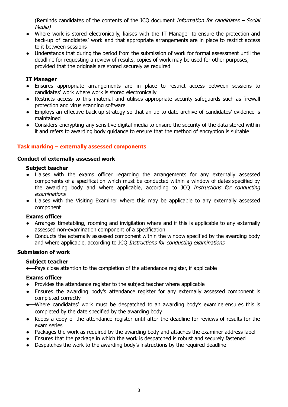(Reminds candidates of the contents of the JCQ document Information for candidates – Social Media)

- Where work is stored electronically, liaises with the IT Manager to ensure the protection and back-up of candidates' work and that appropriate arrangements are in place to restrict access to it between sessions
- Understands that during the period from the submission of work for formal assessment until the deadline for requesting a review of results, copies of work may be used for other purposes, provided that the originals are stored securely as required

#### **IT Manager**

- Ensures appropriate arrangements are in place to restrict access between sessions to candidates' work where work is stored electronically
- Restricts access to this material and utilises appropriate security safeguards such as firewall protection and virus scanning software
- Employs an effective back-up strategy so that an up to date archive of candidates' evidence is maintained
- Considers encrypting any sensitive digital media to ensure the security of the data stored within it and refers to awarding body guidance to ensure that the method of encryption is suitable

#### <span id="page-8-0"></span>**Task marking – externally assessed components**

#### <span id="page-8-1"></span>**Conduct of externally assessed work**

#### **Subject teacher**

- Liaises with the exams officer regarding the arrangements for any externally assessed components of a specification which must be conducted within a window of dates specified by the awarding body and where applicable, according to JCQ Instructions for conducting examinations
- **●** Liaises with the Visiting Examiner where this may be applicable to any externally assessed component

#### **Exams officer**

- **●** Arranges timetabling, rooming and invigilation where and if this is applicable to any externally assessed non-examination component of a specification
- **●** Conducts the externally assessed component within the window specified by the awarding body and where applicable, according to JCO Instructions for conducting examinations

#### **Submission of work**

#### **Subject teacher**

● Pays close attention to the completion of the attendance register, if applicable

#### **Exams officer**

- **●** Provides the attendance register to the subject teacher where applicable
- **●** Ensures the awarding body's attendance register for any externally assessed component is completed correctly
- **●** Where candidates' work must be despatched to an awarding body's examinerensures this is completed by the date specified by the awarding body
- **●** Keeps a copy of the attendance register until after the deadline for reviews of results for the exam series
- **●** Packages the work as required by the awarding body and attaches the examiner address label
- Ensures that the package in which the work is despatched is robust and securely fastened
- **●** Despatches the work to the awarding body's instructions by the required deadline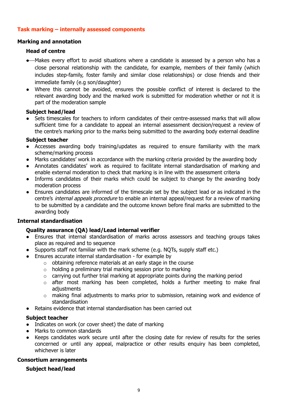#### <span id="page-9-0"></span>**Task marking – internally assessed components**

#### <span id="page-9-1"></span>**Marking and annotation**

#### **Head of centre**

- **●** Makes every effort to avoid situations where a candidate is assessed by a person who has a close personal relationship with the candidate, for example, members of their family (which includes step-family, foster family and similar close relationships) or close friends and their immediate family (e.g son/daughter)
- Where this cannot be avoided, ensures the possible conflict of interest is declared to the relevant awarding body and the marked work is submitted for moderation whether or not it is part of the moderation sample

#### **Subject head/lead**

Sets timescales for teachers to inform candidates of their centre-assessed marks that will allow sufficient time for a candidate to appeal an internal assessment decision/request a review of the centre's marking prior to the marks being submitted to the awarding body external deadline

#### **Subject teacher**

- Accesses awarding body training/updates as required to ensure familiarity with the mark scheme/marking process
- Marks candidates' work in accordance with the marking criteria provided by the awarding body
- Annotates candidates' work as required to facilitate internal standardisation of marking and enable external moderation to check that marking is in line with the assessment criteria
- Informs candidates of their marks which could be subject to change by the awarding body moderation process
- Ensures candidates are informed of the timescale set by the subject lead or as indicated in the centre's internal appeals procedure to enable an internal appeal/request for a review of marking to be submitted by a candidate and the outcome known before final marks are submitted to the awarding body

#### <span id="page-9-2"></span>**Internal standardisation**

#### **Quality assurance (QA) lead/Lead internal verifier**

- Ensures that internal standardisation of marks across assessors and teaching groups takes place as required and to sequence
- Supports staff not familiar with the mark scheme (e.g. NQTs, supply staff etc.)
- Ensures accurate internal standardisation for example by
	- $\circ$  obtaining reference materials at an early stage in the course
	- $\circ$  holding a preliminary trial marking session prior to marking
	- o carrying out further trial marking at appropriate points during the marking period
	- o after most marking has been completed, holds a further meeting to make final adjustments
	- $\circ$  making final adjustments to marks prior to submission, retaining work and evidence of standardisation
- **●** Retains evidence that internal standardisation has been carried out

#### **Subject teacher**

- Indicates on work (or cover sheet) the date of marking
- Marks to common standards
- Keeps candidates work secure until after the closing date for review of results for the series concerned or until any appeal, malpractice or other results enquiry has been completed, whichever is later

#### <span id="page-9-3"></span>**Consortium arrangements**

#### **Subject head/lead**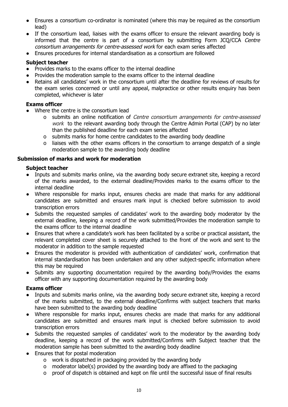- Ensures a consortium co-ordinator is nominated (where this may be required as the consortium lead)
- If the consortium lead, liaises with the exams officer to ensure the relevant awarding body is informed that the centre is part of a consortium by submitting Form JCQ/CCA Centre consortium arrangements for centre-assessed work for each exam series affected
- Ensures procedures for internal standardisation as a consortium are followed

#### **Subject teacher**

- Provides marks to the exams officer to the internal deadline
- Provides the moderation sample to the exams officer to the internal deadline
- Retains all candidates' work in the consortium until after the deadline for reviews of results for the exam series concerned or until any appeal, malpractice or other results enquiry has been completed, whichever is later

#### **Exams officer**

- Where the centre is the consortium lead
	- o submits an online notification of Centre consortium arrangements for centre-assessed work to the relevant awarding body through the Centre Admin Portal (CAP) by no later than the published deadline for each exam series affected
	- o submits marks for home centre candidates to the awarding body deadline
	- o liaises with the other exams officers in the consortium to arrange despatch of a single moderation sample to the awarding body deadline

#### <span id="page-10-0"></span>**Submission of marks and work for moderation**

#### **Subject teacher**

- Inputs and submits marks online, via the awarding body secure extranet site, keeping a record of the marks awarded, to the external deadline/Provides marks to the exams officer to the internal deadline
- Where responsible for marks input, ensures checks are made that marks for any additional candidates are submitted and ensures mark input is checked before submission to avoid transcription errors
- Submits the requested samples of candidates' work to the awarding body moderator by the external deadline, keeping a record of the work submitted/Provides the moderation sample to the exams officer to the internal deadline
- Ensures that where a candidate's work has been facilitated by a scribe or practical assistant, the relevant completed cover sheet is securely attached to the front of the work and sent to the moderator in addition to the sample requested
- Ensures the moderator is provided with authentication of candidates' work, confirmation that internal standardisation has been undertaken and any other subject-specific information where this may be required
- Submits any supporting documentation required by the awarding body/Provides the exams officer with any supporting documentation required by the awarding body

#### **Exams officer**

- Inputs and submits marks online, via the awarding body secure extranet site, keeping a record of the marks submitted, to the external deadline/Confirms with subject teachers that marks have been submitted to the awarding body deadline
- Where responsible for marks input, ensures checks are made that marks for any additional candidates are submitted and ensures mark input is checked before submission to avoid transcription errors
- Submits the requested samples of candidates' work to the moderator by the awarding body deadline, keeping a record of the work submitted/Confirms with Subject teacher that the moderation sample has been submitted to the awarding body deadline
- Ensures that for postal moderation
	- o work is dispatched in packaging provided by the awarding body
	- o moderator label(s) provided by the awarding body are affixed to the packaging
	- o proof of dispatch is obtained and kept on file until the successful issue of final results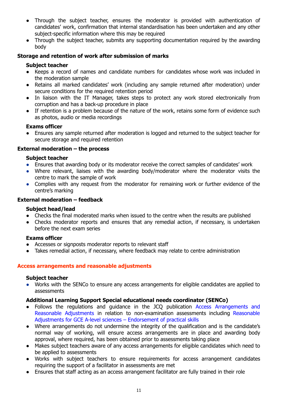- Through the subject teacher, ensures the moderator is provided with authentication of candidates' work, confirmation that internal standardisation has been undertaken and any other subject-specific information where this may be required
- Through the subject teacher, submits any supporting documentation required by the awarding body

#### <span id="page-11-0"></span>**Storage and retention of work after submission of marks**

#### **Subject teacher**

- Keeps a record of names and candidate numbers for candidates whose work was included in the moderation sample
- Retains all marked candidates' work (including any sample returned after moderation) under secure conditions for the required retention period
- In liaison with the IT Manager, takes steps to protect any work stored electronically from corruption and has a back-up procedure in place
- If retention is a problem because of the nature of the work, retains some form of evidence such as photos, audio or media recordings

#### **Exams officer**

● Ensures any sample returned after moderation is logged and returned to the subject teacher for secure storage and required retention

#### <span id="page-11-1"></span>**External moderation – the process**

#### **Subject teacher**

- Ensures that awarding body or its moderator receive the correct samples of candidates' work
- Where relevant, liaises with the awarding body/moderator where the moderator visits the centre to mark the sample of work
- Complies with any request from the moderator for remaining work or further evidence of the centre's marking

#### <span id="page-11-2"></span>**External moderation – feedback**

#### **Subject head/lead**

- Checks the final moderated marks when issued to the centre when the results are published
- Checks moderator reports and ensures that any remedial action, if necessary, is undertaken before the next exam series

#### **Exams officer**

- Accesses or signposts moderator reports to relevant staff
- Takes remedial action, if necessary, where feedback may relate to centre administration

#### <span id="page-11-3"></span>**Access arrangements and reasonable adjustments**

#### **Subject teacher**

● Works with the SENCo to ensure any access arrangements for eligible candidates are applied to assessments

#### **Additional Learning Support Special educational needs coordinator (SENCo)**

- **●** Follows the regulations and guidance in the JCQ publication Access [Arrangements](http://www.jcq.org.uk/exams-office/access-arrangements-and-special-consideration) and Reasonable [Adjustments](http://www.jcq.org.uk/exams-office/access-arrangements-and-special-consideration) in relation to non-examination assessments including [Reasonable](https://www.jcq.org.uk/exams-office/access-arrangements-and-special-consideration/regulations-and-guidance) Adjustments for GCE A-level sciences – [Endorsement](https://www.jcq.org.uk/exams-office/access-arrangements-and-special-consideration/regulations-and-guidance) of practical skills
- **●** Where arrangements do not undermine the integrity of the qualification and is the candidate's normal way of working, will ensure access arrangements are in place and awarding body approval, where required, has been obtained prior to assessments taking place
- **●** Makes subject teachers aware of any access arrangements for eligible candidates which need to be applied to assessments
- **●** Works with subject teachers to ensure requirements for access arrangement candidates requiring the support of a facilitator in assessments are met
- **●** Ensures that staff acting as an access arrangement facilitator are fully trained in their role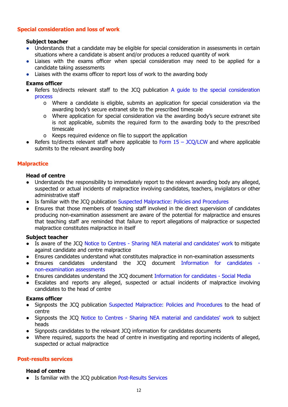#### <span id="page-12-0"></span>**Special consideration and loss of work**

#### **Subject teacher**

- Understands that a candidate may be eligible for special consideration in assessments in certain situations where a candidate is absent and/or produces a reduced quantity of work
- Liaises with the exams officer when special consideration may need to be applied for a candidate taking assessments
- Liaises with the exams officer to report loss of work to the awarding body

#### **Exams officer**

- Refers to/directs relevant staff to the JCQ publication A guide to the special [consideration](http://www.jcq.org.uk/exams-office/access-arrangements-and-special-consideration) [process](http://www.jcq.org.uk/exams-office/access-arrangements-and-special-consideration)
	- o Where a candidate is eligible, submits an application for special consideration via the awarding body's secure extranet site to the prescribed timescale
	- o Where application for special consideration via the awarding body's secure extranet site is not applicable, submits the required form to the awarding body to the prescribed timescale
	- o Keeps required evidence on file to support the application
- Refers to/directs relevant staff where applicable to Form  $15 JCO/LCW$  and where applicable submits to the relevant awarding body

#### <span id="page-12-1"></span>**Malpractice**

#### **Head of centre**

- Understands the responsibility to immediately report to the relevant awarding body any alleged, suspected or actual incidents of malpractice involving candidates, teachers, invigilators or other administrative staff
- Is familiar with the JCO publication Suspected [Malpractice:](http://www.jcq.org.uk/exams-office/malpractice) Policies and Procedures
- Ensures that those members of teaching staff involved in the direct supervision of candidates producing non-examination assessment are aware of the potential for malpractice and ensures that teaching staff are reminded that failure to report allegations of malpractice or suspected malpractice constitutes malpractice in itself

#### **Subject teacher**

- *●* Is aware of the JCQ Notice to Centres Sharing NEA material and [candidates'](http://www.jcq.org.uk/exams-office/non-examination-assessments) work to mitigate against candidate and centre malpractice
- *●* Ensures candidates understand what constitutes malpractice in non-examination assessments
- Ensures candidates understand the JCO document [Information](http://www.jcq.org.uk/exams-office/information-for-candidates-documents) for candidates [non-examination](http://www.jcq.org.uk/exams-office/information-for-candidates-documents) assessments
- Ensures candidates understand the JCQ document [Information](http://www.jcq.org.uk/exams-office/information-for-candidates-documents) for candidates Social Media
- Escalates and reports any alleged, suspected or actual incidents of malpractice involving candidates to the head of centre

#### **Exams officer**

- *●* Signposts the JCQ publication Suspected [Malpractice:](http://www.jcq.org.uk/exams-office/malpractice) Policies and Procedures to the head of centre
- *●* Signposts the JCQ Notice to Centres Sharing NEA material and [candidates'](http://www.jcq.org.uk/exams-office/non-examination-assessments) work to subject heads
- *●* Signposts candidates to the relevant JCQ information for candidates documents
- *●* Where required, supports the head of centre in investigating and reporting incidents of alleged, suspected or actual malpractice

#### <span id="page-12-2"></span>**Post-results services**

#### **Head of centre**

● Is familiar with the JCQ publication [Post-Results](https://www.jcq.org.uk/exams-office/post-results-services) Services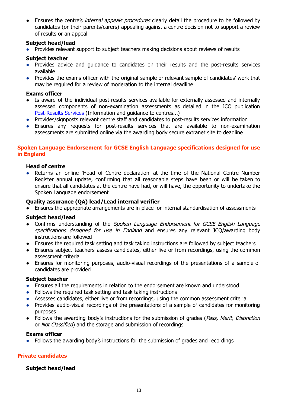Ensures the centre's *internal appeals procedures* clearly detail the procedure to be followed by candidates (or their parents/carers) appealing against a centre decision not to support a review of results or an appeal

#### **Subject head/lead**

● Provides relevant support to subject teachers making decisions about reviews of results

#### **Subject teacher**

- Provides advice and guidance to candidates on their results and the post-results services available
- Provides the exams officer with the original sample or relevant sample of candidates' work that may be required for a review of moderation to the internal deadline

#### **Exams officer**

- *●* Is aware of the individual post-results services available for externally assessed and internally assessed components of non-examination assessments as detailed in the JCQ publication [Post-Results](https://www.jcq.org.uk/exams-office/post-results-services) Services (Information and guidance to centres...)
- Provides/signposts relevant centre staff and candidates to post-results services information
- Ensures any requests for post-results services that are available to non-examination assessments are submitted online via the awarding body secure extranet site to deadline

#### <span id="page-13-0"></span>**Spoken Language Endorsement for GCSE English Language specifications designed for use in England**

#### **Head of centre**

Returns an online 'Head of Centre declaration' at the time of the National Centre Number Register annual update, confirming that all reasonable steps have been or will be taken to ensure that all candidates at the centre have had, or will have, the opportunity to undertake the Spoken Language endorsement

#### **Quality assurance (QA) lead/Lead internal verifier**

**●** Ensures the appropriate arrangements are in place for internal standardisation of assessments

#### **Subject head/lead**

- **●** Confirms understanding of the Spoken Language Endorsement for GCSE English Language specifications designed for use in England and ensures any relevant JCO/awarding body instructions are followed
- **●** Ensures the required task setting and task taking instructions are followed by subject teachers
- **●** Ensures subject teachers assess candidates, either live or from recordings, using the common assessment criteria
- **●** Ensures for monitoring purposes, audio-visual recordings of the presentations of a sample of candidates are provided

#### **Subject teacher**

- Ensures all the requirements in relation to the endorsement are known and understood
- Follows the required task setting and task taking instructions
- Assesses candidates, either live or from recordings, using the common assessment criteria
- Provides audio-visual recordings of the presentations of a sample of candidates for monitoring purposes
- Follows the awarding body's instructions for the submission of grades (Pass, Merit, Distinction or Not Classified) and the storage and submission of recordings

#### **Exams officer**

Follows the awarding body's instructions for the submission of grades and recordings

#### <span id="page-13-1"></span>**Private candidates**

#### **Subject head/lead**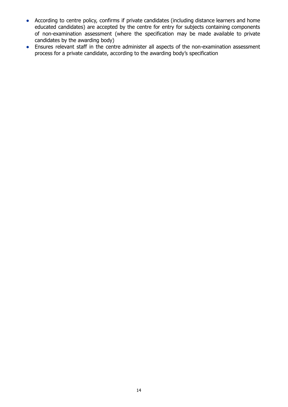- According to centre policy, confirms if private candidates (including distance learners and home educated candidates) are accepted by the centre for entry for subjects containing components of non-examination assessment (where the specification may be made available to private candidates by the awarding body)
- Ensures relevant staff in the centre administer all aspects of the non-examination assessment process for a private candidate, according to the awarding body's specification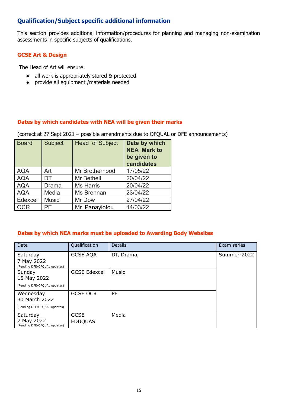#### <span id="page-15-0"></span>**Qualification/Subject specific additional information**

This section provides additional information/procedures for planning and managing non-examination assessments in specific subjects of qualifications.

#### <span id="page-15-1"></span>**GCSE Art & Design**

The Head of Art will ensure:

- all work is appropriately stored & protected
- provide all equipment /materials needed

#### <span id="page-15-2"></span>**Dates by which candidates with NEA will be given their marks**

(correct at 27 Sept 2021 – possible amendments due to OFQUAL or DFE announcements)

| <b>Board</b> | <b>Subject</b> | <b>Head of Subject</b> | Date by which<br><b>NEA Mark to</b><br>be given to<br>candidates |
|--------------|----------------|------------------------|------------------------------------------------------------------|
| <b>AQA</b>   | Art            | Mr Brotherhood         | 17/05/22                                                         |
| <b>AQA</b>   | DT             | Mr Bethell             | 20/04/22                                                         |
| <b>AQA</b>   | Drama          | <b>Ms Harris</b>       | 20/04/22                                                         |
| <b>AQA</b>   | Media          | Ms Brennan             | 23/04/22                                                         |
| Edexcel      | <b>Music</b>   | Mr Dow                 | 27/04/22                                                         |
| <b>OCR</b>   | PE.            | Mr Panayiotou          | 14/03/22                                                         |

#### <span id="page-15-3"></span>**Dates by which NEA marks must be uploaded to Awarding Body Websites**

| Date                                                       | Qualification                 | <b>Details</b> | Exam series |
|------------------------------------------------------------|-------------------------------|----------------|-------------|
| Saturday                                                   | <b>GCSE AQA</b>               | DT, Drama,     | Summer-2022 |
| 7 May 2022<br>(Pending DFE/OFQUAL updates)                 |                               |                |             |
| Sunday<br>15 May 2022                                      | <b>GCSE Edexcel</b>           | Music          |             |
| (Pending DFE/OFQUAL updates)                               |                               |                |             |
| Wednesday<br>30 March 2022<br>(Pending DFE/OFQUAL updates) | <b>GCSE OCR</b>               | <b>PE</b>      |             |
| Saturday<br>7 May 2022<br>(Pending DFE/OFQUAL updates)     | <b>GCSE</b><br><b>EDUQUAS</b> | Media          |             |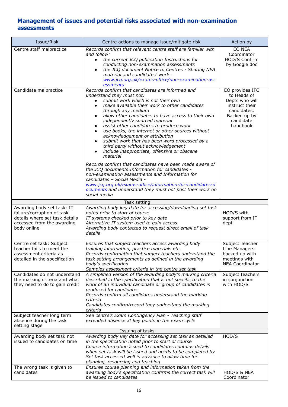#### <span id="page-16-0"></span>**Management of issues and potential risks associated with non-examination assessments**

| Issue/Risk                                                                                                                              | Centre actions to manage issue/mitigate risk                                                                                                                                                                                                                                                                                                                                                                                                                                                                                                                                                                                      | Action by                                                                                                                  |
|-----------------------------------------------------------------------------------------------------------------------------------------|-----------------------------------------------------------------------------------------------------------------------------------------------------------------------------------------------------------------------------------------------------------------------------------------------------------------------------------------------------------------------------------------------------------------------------------------------------------------------------------------------------------------------------------------------------------------------------------------------------------------------------------|----------------------------------------------------------------------------------------------------------------------------|
| Centre staff malpractice                                                                                                                | Records confirm that relevant centre staff are familiar with<br>and follow:<br>the current JCQ publication Instructions for<br>$\bullet$<br>conducting non-examination assessments<br>the JCQ document Notice to Centres - Sharing NEA<br>$\bullet$<br>material and candidates' work -<br>www.jcq.org.uk/exams-office/non-examination-ass<br>essments                                                                                                                                                                                                                                                                             | EO NEA<br>Coordinator<br>HOD/S Confirm<br>by Google doc                                                                    |
| Candidate malpractice                                                                                                                   | Records confirm that candidates are informed and<br>understand they must not:<br>submit work which is not their own<br>make available their work to other candidates<br>through any medium<br>allow other candidates to have access to their own<br>independently sourced material<br>assist other candidates to produce work<br>use books, the internet or other sources without<br>acknowledgement or attribution<br>submit work that has been word processed by a<br>third party without acknowledgement<br>include inappropriate, offensive or obscene<br>material<br>Records confirm that candidates have been made aware of | EO provides IFC<br>to Heads of<br>Depts who will<br>instruct their<br>candidates.<br>Backed up by<br>candidate<br>handbook |
|                                                                                                                                         | the JCQ documents Information for candidates -<br>non-examination assessments and Information for<br>candidates - Social Media -<br>www.jcq.org.uk/exams-office/information-for-candidates-d<br>ocuments and understand they must not post their work on<br>social media                                                                                                                                                                                                                                                                                                                                                          |                                                                                                                            |
|                                                                                                                                         | Task setting                                                                                                                                                                                                                                                                                                                                                                                                                                                                                                                                                                                                                      |                                                                                                                            |
| Awarding body set task: IT<br>failure/corruption of task<br>details where set task details<br>accessed from the awarding<br>body online | Awarding body key date for accessing/downloading set task<br>noted prior to start of course<br>IT systems checked prior to key date<br>Alternative IT system used to gain access<br>Awarding body contacted to request direct email of task<br>details                                                                                                                                                                                                                                                                                                                                                                            | HOD/S with<br>support from IT<br>dept                                                                                      |
| Centre set task: Subject<br>teacher fails to meet the<br>assessment criteria as<br>detailed in the specification                        | Ensures that subject teachers access awarding body<br>training information, practice materials etc.<br>Records confirmation that subject teachers understand the<br>task setting arrangements as defined in the awarding<br>body's specification<br>Samples assessment criteria in the centre set task                                                                                                                                                                                                                                                                                                                            | Subject Teacher<br>Line Managers<br>backed up with<br>meetings with<br><b>NEA Coordinator</b>                              |
| Candidates do not understand<br>the marking criteria and what<br>they need to do to gain credit                                         | A simplified version of the awarding body's marking criteria<br>described in the specification that is not specific to the<br>work of an individual candidate or group of candidates is<br>produced for candidates<br>Records confirm all candidates understand the marking<br>criteria<br>Candidates confirm/record they understand the marking<br>criteria                                                                                                                                                                                                                                                                      | Subject teachers<br>in conjunction<br>with HOD/S                                                                           |
| Subject teacher long term<br>absence during the task<br>setting stage                                                                   | See centre's Exam Contingency Plan - Teaching staff<br>extended absence at key points in the exam cycle                                                                                                                                                                                                                                                                                                                                                                                                                                                                                                                           |                                                                                                                            |
|                                                                                                                                         | Issuing of tasks                                                                                                                                                                                                                                                                                                                                                                                                                                                                                                                                                                                                                  |                                                                                                                            |
| Awarding body set task not<br>issued to candidates on time                                                                              | Awarding body key date for accessing set task as detailed<br>in the specification noted prior to start of course<br>Course information issued to candidates contains details<br>when set task will be issued and needs to be completed by<br>Set task accessed well in advance to allow time for<br>planning, resourcing and teaching                                                                                                                                                                                                                                                                                             | HOD/S                                                                                                                      |
| The wrong task is given to<br>candidates                                                                                                | Ensures course planning and information taken from the<br>awarding body's specification confirms the correct task will<br>be issued to candidates                                                                                                                                                                                                                                                                                                                                                                                                                                                                                 | HOD/S & NEA<br>Coordinator                                                                                                 |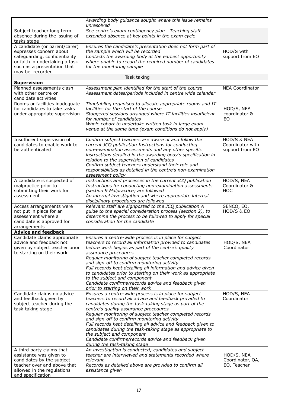|                                                                                                                                                                               | Awarding body guidance sought where this issue remains<br>unresolved                                                                                                                                                                                                                                                                                                                                                                                                                                                                                                           |                                                    |
|-------------------------------------------------------------------------------------------------------------------------------------------------------------------------------|--------------------------------------------------------------------------------------------------------------------------------------------------------------------------------------------------------------------------------------------------------------------------------------------------------------------------------------------------------------------------------------------------------------------------------------------------------------------------------------------------------------------------------------------------------------------------------|----------------------------------------------------|
| Subject teacher long term<br>absence during the issuing of<br>tasks stage                                                                                                     | See centre's exam contingency plan - Teaching staff<br>extended absence at key points in the exam cycle                                                                                                                                                                                                                                                                                                                                                                                                                                                                        |                                                    |
| A candidate (or parent/carer)<br>expresses concern about<br>safeguarding, confidentiality<br>or faith in undertaking a task<br>such as a presentation that<br>may be recorded | Ensures the candidate's presentation does not form part of<br>the sample which will be recorded<br>Contacts the awarding body at the earliest opportunity<br>where unable to record the required number of candidates<br>for the monitoring sample                                                                                                                                                                                                                                                                                                                             | HOD/S with<br>support from EO                      |
|                                                                                                                                                                               | Task taking                                                                                                                                                                                                                                                                                                                                                                                                                                                                                                                                                                    |                                                    |
| <b>Supervision</b><br>Planned assessments clash<br>with other centre or<br>candidate activities                                                                               | Assessment plan identified for the start of the course<br>Assessment dates/periods included in centre wide calendar                                                                                                                                                                                                                                                                                                                                                                                                                                                            | <b>NEA Coordinator</b>                             |
| Rooms or facilities inadequate<br>for candidates to take tasks<br>under appropriate supervision                                                                               | Timetabling organised to allocate appropriate rooms and IT<br>facilities for the start of the course<br>Staggered sessions arranged where IT facilities insufficient<br>for number of candidates<br>Whole cohort to undertake written task in large exam<br>venue at the same time (exam conditions do not apply)                                                                                                                                                                                                                                                              | HOD/S, NEA<br>coordinator &<br>EO                  |
| Insufficient supervision of<br>candidates to enable work to<br>be authenticated                                                                                               | Confirm subject teachers are aware of and follow the<br>current JCQ publication Instructions for conducting<br>non-examination assessments and any other specific<br>instructions detailed in the awarding body's specification in<br>relation to the supervision of candidates<br>Confirm subject teachers understand their role and<br>responsibilities as detailed in the centre's non-examination<br>assessment policy                                                                                                                                                     | HOD/S & NEA<br>Coordinator with<br>support from EO |
| A candidate is suspected of<br>malpractice prior to<br>submitting their work for<br>assessment                                                                                | Instructions and processes in the current JCQ publication<br>Instructions for conducting non-examination assessments<br>(section 9 Malpractice) are followed<br>An internal investigation and where appropriate internal<br>disciplinary procedures are followed                                                                                                                                                                                                                                                                                                               | HOD/S, NEA<br>Coordinator &<br><b>HOC</b>          |
| Access arrangements were<br>not put in place for an<br>assessment where a<br>candidate is approved for<br>arrangements                                                        | Relevant staff are signposted to the JCQ publication A<br>guide to the special consideration process (section 2), to<br>determine the process to be followed to apply for special<br>consideration for the candidate                                                                                                                                                                                                                                                                                                                                                           | SENCO, EO,<br>HOD/S & EO                           |
| <b>Advice and feedback</b>                                                                                                                                                    |                                                                                                                                                                                                                                                                                                                                                                                                                                                                                                                                                                                |                                                    |
| Candidate claims appropriate<br>advice and feedback not<br>given by subject teacher prior<br>to starting on their work                                                        | Ensures a centre-wide process is in place for subject<br>teachers to record all information provided to candidates<br>before work begins as part of the centre's quality<br>assurance procedures<br>Regular monitoring of subject teacher completed records<br>and sign-off to confirm monitoring activity<br>Full records kept detailing all information and advice given<br>to candidates prior to starting on their work as appropriate<br>to the subject and component<br>Candidate confirms/records advice and feedback given<br>prior to starting on their work          | HOD/S, NEA<br>Coordinator                          |
| Candidate claims no advice<br>and feedback given by<br>subject teacher during the<br>task-taking stage                                                                        | Ensures a centre-wide process is in place for subject<br>teachers to record all advice and feedback provided to<br>candidates during the task-taking stage as part of the<br>centre's quality assurance procedures<br>Regular monitoring of subject teacher completed records<br>and sign-off to confirm monitoring activity<br>Full records kept detailing all advice and feedback given to<br>candidates during the task-taking stage as appropriate to<br>the subject and component<br>Candidate confirms/records advice and feedback given<br>during the task-taking stage | HOD/S, NEA<br>Coordinator                          |
| A third party claims that<br>assistance was given to<br>candidates by the subject<br>teacher over and above that<br>allowed in the regulations<br>and specification           | An investigation is conducted; candidates and subject<br>teacher are interviewed and statements recorded where<br>relevant<br>Records as detailed above are provided to confirm all<br>assistance given                                                                                                                                                                                                                                                                                                                                                                        | HOD/S, NEA<br>Coordinator, QA,<br>EO, Teacher      |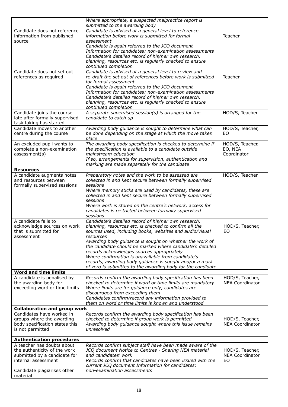|                                     | Where appropriate, a suspected malpractice report is<br>submitted to the awarding body |                        |
|-------------------------------------|----------------------------------------------------------------------------------------|------------------------|
| Candidate does not reference        | Candidate is advised at a general level to reference                                   |                        |
| information from published          | information before work is submitted for formal                                        | Teacher                |
| source                              | assessment                                                                             |                        |
|                                     | Candidate is again referred to the JCQ document                                        |                        |
|                                     | Information for candidates: non-examination assessments                                |                        |
|                                     |                                                                                        |                        |
|                                     | Candidate's detailed record of his/her own research,                                   |                        |
|                                     | planning, resources etc. is regularly checked to ensure                                |                        |
|                                     | continued completion                                                                   |                        |
| Candidate does not set out          | Candidate is advised at a general level to review and                                  |                        |
| references as required              | re-draft the set out of references before work is submitted                            | Teacher                |
|                                     | for formal assessment                                                                  |                        |
|                                     | Candidate is again referred to the JCQ document                                        |                        |
|                                     | Information for candidates: non-examination assessments                                |                        |
|                                     | Candidate's detailed record of his/her own research,                                   |                        |
|                                     | planning, resources etc. is regularly checked to ensure                                |                        |
|                                     | continued completion                                                                   |                        |
| Candidate joins the course          | A separate supervised session(s) is arranged for the                                   | HOD/S, Teacher         |
| late after formally supervised      | candidate to catch up                                                                  |                        |
| task taking has started             |                                                                                        |                        |
| Candidate moves to another          | Awarding body guidance is sought to determine what can                                 | HOD/S, Teacher,        |
| centre during the course            | be done depending on the stage at which the move takes                                 | EO                     |
|                                     | place                                                                                  |                        |
| An excluded pupil wants to          | The awarding body specification is checked to determine if                             | HOD/S, Teacher,        |
| complete a non-examination          | the specification is available to a candidate outside                                  | EO, NEA                |
| assessment(s)                       | mainstream education                                                                   | Coordinator            |
|                                     | If so, arrangements for supervision, authentication and                                |                        |
|                                     | marking are made separately for the candidate                                          |                        |
| <b>Resources</b>                    |                                                                                        |                        |
| A candidate augments notes          | Preparatory notes and the work to be assessed are                                      | HOD/S, Teacher         |
| and resources between               | collected in and kept secure between formally supervised                               |                        |
| formally supervised sessions        | sessions                                                                               |                        |
|                                     | Where memory sticks are used by candidates, these are                                  |                        |
|                                     | collected in and kept secure between formally supervised                               |                        |
|                                     | sessions                                                                               |                        |
|                                     | Where work is stored on the centre's network, access for                               |                        |
|                                     | candidates is restricted between formally supervised                                   |                        |
|                                     | sessions                                                                               |                        |
| A candidate fails to                | Candidate's detailed record of his/her own research,                                   |                        |
| acknowledge sources on work         | planning, resources etc. is checked to confirm all the                                 | HOD/S, Teacher,        |
| that is submitted for               | sources used, including books, websites and audio/visual                               | EO                     |
| assessment                          | resources                                                                              |                        |
|                                     | Awarding body guidance is sought on whether the work of                                |                        |
|                                     | the candidate should be marked where candidate's detailed                              |                        |
|                                     | records acknowledges sources appropriately                                             |                        |
|                                     | Where confirmation is unavailable from candidate's                                     |                        |
|                                     | records, awarding body guidance is sought and/or a mark                                |                        |
|                                     | of zero is submitted to the awarding body for the candidate                            |                        |
| <b>Word and time limits</b>         |                                                                                        |                        |
| A candidate is penalised by         | Records confirm the awarding body specification has been                               | HOD/S, Teacher,        |
| the awarding body for               | checked to determine if word or time limits are mandatory                              | <b>NEA Coordinator</b> |
| exceeding word or time limits       | Where limits are for guidance only, candidates are                                     |                        |
|                                     | discouraged from exceeding them                                                        |                        |
|                                     | Candidates confirm/record any information provided to                                  |                        |
|                                     | them on word or time limits is known and understood                                    |                        |
| <b>Collaboration and group work</b> |                                                                                        |                        |
| Candidates have worked in           | Records confirm the awarding body specification has been                               |                        |
| groups where the awarding           | checked to determine if group work is permitted                                        | HOD/S, Teacher,        |
| body specification states this      | Awarding body guidance sought where this issue remains                                 | <b>NEA Coordinator</b> |
| is not permitted                    | unresolved                                                                             |                        |
|                                     |                                                                                        |                        |
| <b>Authentication procedures</b>    |                                                                                        |                        |
| A teacher has doubts about          | Records confirm subject staff have been made aware of the                              |                        |
| the authenticity of the work        | JCQ document Notice to Centres - Sharing NEA material                                  | HOD/S, Teacher,        |
| submitted by a candidate for        | and candidates' work                                                                   | <b>NEA Coordinator</b> |
| internal assessment                 | Records confirm that candidates have been issued with the                              | EO                     |
|                                     | current JCQ document Information for candidates:                                       |                        |
| Candidate plagiarises other         | non-examination assessments                                                            |                        |
| material                            |                                                                                        |                        |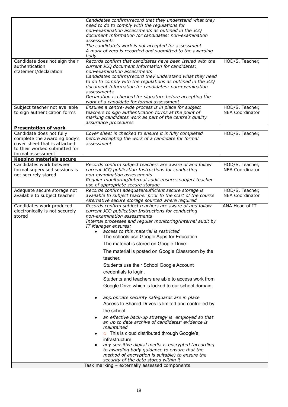| to sign authentication forms<br>teachers to sign authentication forms at the point of<br>marking candidates work as part of the centre's quality<br>assurance procedures<br><b>Presentation of work</b><br>Candidate does not fully<br>Cover sheet is checked to ensure it is fully completed<br>complete the awarding body's<br>before accepting the work of a candidate for formal<br>cover sheet that is attached<br>assessment<br>to their worked submitted for<br>formal assessment<br><b>Keeping materials secure</b><br>Candidates work between<br>Records confirm subject teachers are aware of and follow<br>formal supervised sessions is<br>current JCQ publication Instructions for conducting<br>not securely stored<br>non-examination assessments<br>Regular monitoring/internal audit ensures subject teacher<br>use of appropriate secure storage<br>Records confirm adequate/sufficient secure storage is<br>Adequate secure storage not<br>available to subject teacher<br>available to subject teacher prior to the start of the course<br>Alternative secure storage sourced where required<br>Candidates work produced<br>ANA Head of IT<br>Records confirm subject teachers are aware of and follow<br>electronically is not securely<br>current JCQ publication Instructions for conducting<br>non-examination assessments<br>stored<br>Internal processes and regular monitoring/internal audit by<br>IT Manager ensures:<br>access to this material is restricted<br>The schools use Google Apps for Education<br>The material is stored on Google Drive.<br>The material is posted on Google Classroom by the<br>teacher.<br>Students use their School Google Account<br>credentials to login.<br>Students and teachers are able to access work from<br>Google Drive which is locked to our school domain<br>appropriate security safeguards are in place<br>$\bullet$<br>Access to Shared Drives is limited and controlled by<br>the school<br>an effective back-up strategy is employed so that<br>an up to date archive of candidates' evidence is<br>maintained<br>This is cloud distributed through Google's<br>$\circ$ | Candidate does not sign their<br>authentication<br>statement/declaration<br>Subject teacher not available | Candidates confirm/record that they understand what they<br>need to do to comply with the regulations for<br>non-examination assessments as outlined in the JCQ<br>document Information for candidates: non-examination<br>assessments<br>The candidate's work is not accepted for assessment<br>A mark of zero is recorded and submitted to the awarding<br>body<br>Records confirm that candidates have been issued with the<br>current JCQ document Information for candidates:<br>non-examination assessments<br>Candidates confirm/record they understand what they need<br>to do to comply with the regulations as outlined in the JCQ<br>document Information for candidates: non-examination<br>assessments<br>Declaration is checked for signature before accepting the<br>work of a candidate for formal assessment<br>Ensures a centre-wide process is in place for subject | HOD/S, Teacher,<br>HOD/S, Teacher,        |
|---------------------------------------------------------------------------------------------------------------------------------------------------------------------------------------------------------------------------------------------------------------------------------------------------------------------------------------------------------------------------------------------------------------------------------------------------------------------------------------------------------------------------------------------------------------------------------------------------------------------------------------------------------------------------------------------------------------------------------------------------------------------------------------------------------------------------------------------------------------------------------------------------------------------------------------------------------------------------------------------------------------------------------------------------------------------------------------------------------------------------------------------------------------------------------------------------------------------------------------------------------------------------------------------------------------------------------------------------------------------------------------------------------------------------------------------------------------------------------------------------------------------------------------------------------------------------------------------------------------------------------------------------------------------------------------------------------------------------------------------------------------------------------------------------------------------------------------------------------------------------------------------------------------------------------------------------------------------------------------------------------------------------------------------------------------------------------------------------------------------------------------------------------|-----------------------------------------------------------------------------------------------------------|----------------------------------------------------------------------------------------------------------------------------------------------------------------------------------------------------------------------------------------------------------------------------------------------------------------------------------------------------------------------------------------------------------------------------------------------------------------------------------------------------------------------------------------------------------------------------------------------------------------------------------------------------------------------------------------------------------------------------------------------------------------------------------------------------------------------------------------------------------------------------------------|-------------------------------------------|
|                                                                                                                                                                                                                                                                                                                                                                                                                                                                                                                                                                                                                                                                                                                                                                                                                                                                                                                                                                                                                                                                                                                                                                                                                                                                                                                                                                                                                                                                                                                                                                                                                                                                                                                                                                                                                                                                                                                                                                                                                                                                                                                                                         |                                                                                                           |                                                                                                                                                                                                                                                                                                                                                                                                                                                                                                                                                                                                                                                                                                                                                                                                                                                                                        | <b>NEA Coordinator</b>                    |
|                                                                                                                                                                                                                                                                                                                                                                                                                                                                                                                                                                                                                                                                                                                                                                                                                                                                                                                                                                                                                                                                                                                                                                                                                                                                                                                                                                                                                                                                                                                                                                                                                                                                                                                                                                                                                                                                                                                                                                                                                                                                                                                                                         |                                                                                                           |                                                                                                                                                                                                                                                                                                                                                                                                                                                                                                                                                                                                                                                                                                                                                                                                                                                                                        |                                           |
|                                                                                                                                                                                                                                                                                                                                                                                                                                                                                                                                                                                                                                                                                                                                                                                                                                                                                                                                                                                                                                                                                                                                                                                                                                                                                                                                                                                                                                                                                                                                                                                                                                                                                                                                                                                                                                                                                                                                                                                                                                                                                                                                                         |                                                                                                           |                                                                                                                                                                                                                                                                                                                                                                                                                                                                                                                                                                                                                                                                                                                                                                                                                                                                                        | HOD/S, Teacher,                           |
|                                                                                                                                                                                                                                                                                                                                                                                                                                                                                                                                                                                                                                                                                                                                                                                                                                                                                                                                                                                                                                                                                                                                                                                                                                                                                                                                                                                                                                                                                                                                                                                                                                                                                                                                                                                                                                                                                                                                                                                                                                                                                                                                                         |                                                                                                           |                                                                                                                                                                                                                                                                                                                                                                                                                                                                                                                                                                                                                                                                                                                                                                                                                                                                                        |                                           |
|                                                                                                                                                                                                                                                                                                                                                                                                                                                                                                                                                                                                                                                                                                                                                                                                                                                                                                                                                                                                                                                                                                                                                                                                                                                                                                                                                                                                                                                                                                                                                                                                                                                                                                                                                                                                                                                                                                                                                                                                                                                                                                                                                         |                                                                                                           |                                                                                                                                                                                                                                                                                                                                                                                                                                                                                                                                                                                                                                                                                                                                                                                                                                                                                        | HOD/S, Teacher,<br><b>NEA Coordinator</b> |
|                                                                                                                                                                                                                                                                                                                                                                                                                                                                                                                                                                                                                                                                                                                                                                                                                                                                                                                                                                                                                                                                                                                                                                                                                                                                                                                                                                                                                                                                                                                                                                                                                                                                                                                                                                                                                                                                                                                                                                                                                                                                                                                                                         |                                                                                                           |                                                                                                                                                                                                                                                                                                                                                                                                                                                                                                                                                                                                                                                                                                                                                                                                                                                                                        | HOD/S, Teacher,<br><b>NEA Coordinator</b> |
| infrastructure<br>any sensitive digital media is encrypted (according<br>to awarding body guidance to ensure that the<br>method of encryption is suitable) to ensure the                                                                                                                                                                                                                                                                                                                                                                                                                                                                                                                                                                                                                                                                                                                                                                                                                                                                                                                                                                                                                                                                                                                                                                                                                                                                                                                                                                                                                                                                                                                                                                                                                                                                                                                                                                                                                                                                                                                                                                                |                                                                                                           |                                                                                                                                                                                                                                                                                                                                                                                                                                                                                                                                                                                                                                                                                                                                                                                                                                                                                        |                                           |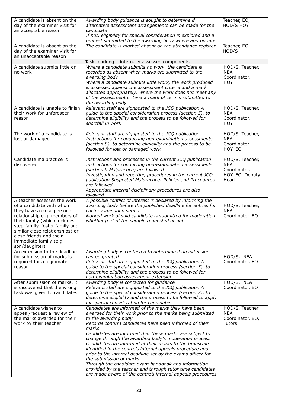| A candidate is absent on the<br>day of the examiner visit for<br>an acceptable reason                                                                                                                                                                                                            | Awarding body guidance is sought to determine if<br>alternative assessment arrangements can be made for the<br>candidate<br>If not, eligibility for special consideration is explored and a                                                                                                                                                                                                                                                                                                                                                                                                                                                                                                                                         | Teacher, EO,<br>HOD/S HOY                                                |
|--------------------------------------------------------------------------------------------------------------------------------------------------------------------------------------------------------------------------------------------------------------------------------------------------|-------------------------------------------------------------------------------------------------------------------------------------------------------------------------------------------------------------------------------------------------------------------------------------------------------------------------------------------------------------------------------------------------------------------------------------------------------------------------------------------------------------------------------------------------------------------------------------------------------------------------------------------------------------------------------------------------------------------------------------|--------------------------------------------------------------------------|
| A candidate is absent on the<br>day of the examiner visit for<br>an unacceptable reason                                                                                                                                                                                                          | request submitted to the awarding body where appropriate<br>The candidate is marked absent on the attendance register                                                                                                                                                                                                                                                                                                                                                                                                                                                                                                                                                                                                               | Teacher, EO,<br>HOD/S                                                    |
|                                                                                                                                                                                                                                                                                                  | Task marking - internally assessed components                                                                                                                                                                                                                                                                                                                                                                                                                                                                                                                                                                                                                                                                                       |                                                                          |
| A candidate submits little or<br>no work                                                                                                                                                                                                                                                         | Where a candidate submits no work, the candidate is<br>recorded as absent when marks are submitted to the<br>awarding body<br>Where a candidate submits little work, the work produced<br>is assessed against the assessment criteria and a mark<br>allocated appropriately; where the work does not meet any<br>of the assessment criteria a mark of zero is submitted to<br>the awarding body                                                                                                                                                                                                                                                                                                                                     | HOD/S, Teacher,<br><b>NEA</b><br>Coordinator,<br><b>HOY</b>              |
| A candidate is unable to finish<br>their work for unforeseen<br>reason                                                                                                                                                                                                                           | Relevant staff are signposted to the JCQ publication A<br>guide to the special consideration process (section 5), to<br>determine eligibility and the process to be followed for<br>shortfall in work                                                                                                                                                                                                                                                                                                                                                                                                                                                                                                                               | HOD/S, Teacher,<br><b>NEA</b><br>Coordinator,<br><b>HOY</b>              |
| The work of a candidate is<br>lost or damaged                                                                                                                                                                                                                                                    | Relevant staff are signposted to the JCQ publication<br>Instructions for conducting non-examination assessments<br>(section 8), to determine eligibility and the process to be<br>followed for lost or damaged work                                                                                                                                                                                                                                                                                                                                                                                                                                                                                                                 | HOD/S, Teacher,<br><b>NEA</b><br>Coordinator,<br>HOY, EO                 |
| Candidate malpractice is<br>discovered                                                                                                                                                                                                                                                           | Instructions and processes in the current JCQ publication<br>Instructions for conducting non-examination assessments<br>(section 9 Malpractice) are followed<br>Investigation and reporting procedures in the current JCQ<br>publication Suspected Malpractice: Policies and Procedures<br>are followed<br>Appropriate internal disciplinary procedures are also<br>followed                                                                                                                                                                                                                                                                                                                                                        | HOD/S, Teacher,<br><b>NEA</b><br>Coordinator,<br>HOY, EO, Deputy<br>Head |
| A teacher assesses the work<br>of a candidate with whom<br>they have a close personal<br>relationship e.g. members of<br>their family (which includes<br>step-family, foster family and<br>similar close relationships) or<br>close friends and their<br>immediate family (e.g.<br>son/daughter) | A possible conflict of interest is declared by informing the<br>awarding body before the published deadline for entries for<br>each examination series<br>Marked work of said candidate is submitted for moderation<br>whether part of the sample requested or not                                                                                                                                                                                                                                                                                                                                                                                                                                                                  | HOD/S, Teacher,<br><b>NEA</b><br>Coordinator, EO                         |
| An extension to the deadline<br>for submission of marks is<br>required for a legitimate<br>reason                                                                                                                                                                                                | Awarding body is contacted to determine if an extension<br>can be granted<br>Relevant staff are signposted to the JCQ publication A<br>guide to the special consideration process (section 5), to<br>determine eligibility and the process to be followed for<br>non-examination assessment extension                                                                                                                                                                                                                                                                                                                                                                                                                               | HOD/S, NEA<br>Coordinator, EO                                            |
| After submission of marks, it<br>is discovered that the wrong<br>task was given to candidates                                                                                                                                                                                                    | Awarding body is contacted for quidance<br>Relevant staff are signposted to the JCQ publication A<br>guide to the special consideration process (section 2), to<br>determine eligibility and the process to be followed to apply<br>for special consideration for candidates                                                                                                                                                                                                                                                                                                                                                                                                                                                        | HOD/S, NEA<br>Coordinator, EO                                            |
| A candidate wishes to<br>appeal/request a review of<br>the marks awarded for their<br>work by their teacher                                                                                                                                                                                      | Candidates are informed of the marks they have been<br>awarded for their work prior to the marks being submitted<br>to the awarding body<br>Records confirm candidates have been informed of their<br>marks<br>Candidates are informed that these marks are subject to<br>change through the awarding body's moderation process<br>Candidates are informed of their marks to the timescale<br>identified in the centre's internal appeals procedure and<br>prior to the internal deadline set by the exams officer for<br>the submission of marks<br>Through the candidate exam handbook and information<br>provided by the teacher and through tutor time candidates<br>are made aware of the centre's internal appeals procedures | HOD/S, Teacher<br><b>NEA</b><br>Coordinator, EO,<br><b>Tutors</b>        |